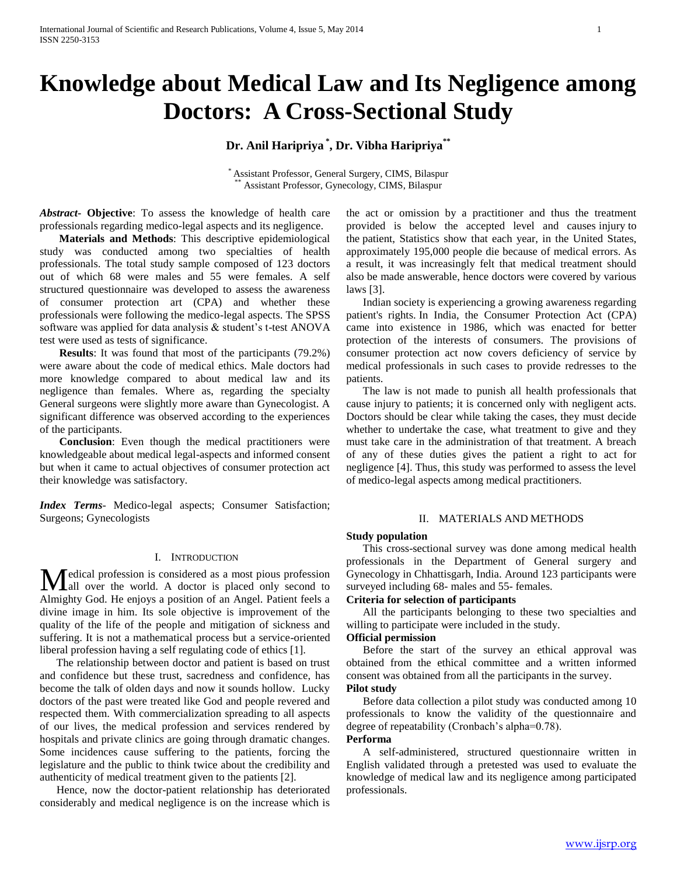# **Knowledge about Medical Law and Its Negligence among Doctors: A Cross-Sectional Study**

## **Dr. Anil Haripriya \* , Dr. Vibha Haripriya\*\***

\* Assistant Professor, General Surgery, CIMS, Bilaspur Assistant Professor, Gynecology, CIMS, Bilaspur

*Abstract***- Objective**: To assess the knowledge of health care professionals regarding medico-legal aspects and its negligence.

 **Materials and Methods**: This descriptive epidemiological study was conducted among two specialties of health professionals. The total study sample composed of 123 doctors out of which 68 were males and 55 were females. A self structured questionnaire was developed to assess the awareness of consumer protection art (CPA) and whether these professionals were following the medico-legal aspects. The SPSS software was applied for data analysis & student's t-test ANOVA test were used as tests of significance.

 **Results**: It was found that most of the participants (79.2%) were aware about the code of medical ethics. Male doctors had more knowledge compared to about medical law and its negligence than females. Where as, regarding the specialty General surgeons were slightly more aware than Gynecologist. A significant difference was observed according to the experiences of the participants.

 **Conclusion**: Even though the medical practitioners were knowledgeable about medical legal-aspects and informed consent but when it came to actual objectives of consumer protection act their knowledge was satisfactory.

*Index Terms*- Medico-legal aspects; Consumer Satisfaction; Surgeons; Gynecologists

#### I. INTRODUCTION

edical profession is considered as a most pious profession Medical profession is considered as a most pious profession<br>all over the world. A doctor is placed only second to Almighty God. He enjoys a position of an Angel. Patient feels a divine image in him. Its sole objective is improvement of the quality of the life of the people and mitigation of sickness and suffering. It is not a mathematical process but a service-oriented liberal profession having a self regulating code of ethics [1].

 The relationship between doctor and patient is based on trust and confidence but these trust, sacredness and confidence, has become the talk of olden days and now it sounds hollow. Lucky doctors of the past were treated like God and people revered and respected them. With commercialization spreading to all aspects of our lives, the medical profession and services rendered by hospitals and private clinics are going through dramatic changes. Some incidences cause suffering to the patients, forcing the legislature and the public to think twice about the credibility and authenticity of medical treatment given to the patients [2].

 Hence, now the doctor-patient relationship has deteriorated considerably and medical negligence is on the increase which is the act or omission by a practitioner and thus the treatment provided is below the accepted level and causes injury to the patient, Statistics show that each year, in the United States, approximately 195,000 people die because of medical errors. As a result, it was increasingly felt that medical treatment should also be made answerable, hence doctors were covered by various laws [3].

 Indian society is experiencing a growing awareness regarding patient's rights. In India, the Consumer Protection Act (CPA) came into existence in 1986, which was enacted for better protection of the interests of consumers. The provisions of consumer protection act now covers deficiency of service by medical professionals in such cases to provide redresses to the patients.

 The law is not made to punish all health professionals that cause injury to patients; it is concerned only with negligent acts. Doctors should be clear while taking the cases, they must decide whether to undertake the case, what treatment to give and they must take care in the administration of that treatment. A breach of any of these duties gives the patient a right to act for negligence [4]. Thus, this study was performed to assess the level of medico-legal aspects among medical practitioners.

### II. MATERIALS AND METHODS

## **Study population**

 This cross-sectional survey was done among medical health professionals in the Department of General surgery and Gynecology in Chhattisgarh, India. Around 123 participants were surveyed including 68- males and 55- females.

## **Criteria for selection of participants**

 All the participants belonging to these two specialties and willing to participate were included in the study.

## **Official permission**

 Before the start of the survey an ethical approval was obtained from the ethical committee and a written informed consent was obtained from all the participants in the survey.

## **Pilot study**

 Before data collection a pilot study was conducted among 10 professionals to know the validity of the questionnaire and degree of repeatability (Cronbach's alpha=0.78).

## **Performa**

 A self-administered, structured questionnaire written in English validated through a pretested was used to evaluate the knowledge of medical law and its negligence among participated professionals.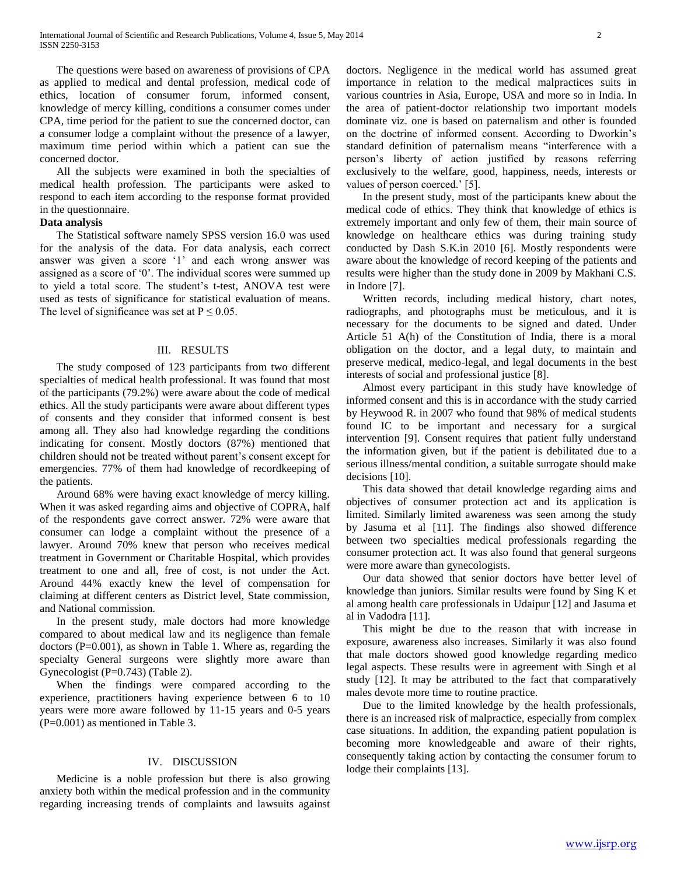The questions were based on awareness of provisions of CPA as applied to medical and dental profession, medical code of ethics, location of consumer forum, informed consent, knowledge of mercy killing, conditions a consumer comes under CPA, time period for the patient to sue the concerned doctor, can a consumer lodge a complaint without the presence of a lawyer, maximum time period within which a patient can sue the concerned doctor.

 All the subjects were examined in both the specialties of medical health profession. The participants were asked to respond to each item according to the response format provided in the questionnaire.

## **Data analysis**

 The Statistical software namely SPSS version 16.0 was used for the analysis of the data. For data analysis, each correct answer was given a score '1' and each wrong answer was assigned as a score of '0'. The individual scores were summed up to yield a total score. The student's t-test, ANOVA test were used as tests of significance for statistical evaluation of means. The level of significance was set at  $P \le 0.05$ .

### III. RESULTS

 The study composed of 123 participants from two different specialties of medical health professional. It was found that most of the participants (79.2%) were aware about the code of medical ethics. All the study participants were aware about different types of consents and they consider that informed consent is best among all. They also had knowledge regarding the conditions indicating for consent. Mostly doctors (87%) mentioned that children should not be treated without parent's consent except for emergencies. 77% of them had knowledge of recordkeeping of the patients.

 Around 68% were having exact knowledge of mercy killing. When it was asked regarding aims and objective of COPRA, half of the respondents gave correct answer. 72% were aware that consumer can lodge a complaint without the presence of a lawyer. Around 70% knew that person who receives medical treatment in Government or Charitable Hospital, which provides treatment to one and all, free of cost, is not under the Act. Around 44% exactly knew the level of compensation for claiming at different centers as District level, State commission, and National commission.

 In the present study, male doctors had more knowledge compared to about medical law and its negligence than female doctors (P=0.001), as shown in Table 1. Where as, regarding the specialty General surgeons were slightly more aware than Gynecologist (P=0.743) (Table 2).

 When the findings were compared according to the experience, practitioners having experience between 6 to 10 years were more aware followed by 11-15 years and 0-5 years (P=0.001) as mentioned in Table 3.

#### IV. DISCUSSION

 Medicine is a noble profession but there is also growing anxiety both within the medical profession and in the community regarding increasing trends of complaints and lawsuits against doctors. Negligence in the medical world has assumed great importance in relation to the medical malpractices suits in various countries in Asia, Europe, USA and more so in India. In the area of patient-doctor relationship two important models dominate viz. one is based on paternalism and other is founded on the doctrine of informed consent. According to Dworkin's standard definition of paternalism means "interference with a person's liberty of action justified by reasons referring exclusively to the welfare, good, happiness, needs, interests or values of person coerced.' [5].

 In the present study, most of the participants knew about the medical code of ethics. They think that knowledge of ethics is extremely important and only few of them, their main source of knowledge on healthcare ethics was during training study conducted by Dash S.K.in 2010 [6]. Mostly respondents were aware about the knowledge of record keeping of the patients and results were higher than the study done in 2009 by Makhani C.S. in Indore [7].

 Written records, including medical history, chart notes, radiographs, and photographs must be meticulous, and it is necessary for the documents to be signed and dated. Under Article 51 A(h) of the Constitution of India, there is a moral obligation on the doctor, and a legal duty, to maintain and preserve medical, medico-legal, and legal documents in the best interests of social and professional justice [8].

 Almost every participant in this study have knowledge of informed consent and this is in accordance with the study carried by Heywood R. in 2007 who found that 98% of medical students found IC to be important and necessary for a surgical intervention [9]. Consent requires that patient fully understand the information given, but if the patient is debilitated due to a serious illness/mental condition, a suitable surrogate should make decisions [10].

 This data showed that detail knowledge regarding aims and objectives of consumer protection act and its application is limited. Similarly limited awareness was seen among the study by Jasuma et al [11]. The findings also showed difference between two specialties medical professionals regarding the consumer protection act. It was also found that general surgeons were more aware than gynecologists.

 Our data showed that senior doctors have better level of knowledge than juniors. Similar results were found by Sing K et al among health care professionals in Udaipur [12] and Jasuma et al in Vadodra [11].

 This might be due to the reason that with increase in exposure, awareness also increases. Similarly it was also found that male doctors showed good knowledge regarding medico legal aspects. These results were in agreement with Singh et al study [12]. It may be attributed to the fact that comparatively males devote more time to routine practice.

 Due to the limited knowledge by the health professionals, there is an increased risk of malpractice, especially from complex case situations. In addition, the expanding patient population is becoming more knowledgeable and aware of their rights, consequently taking action by contacting the consumer forum to lodge their complaints [13].